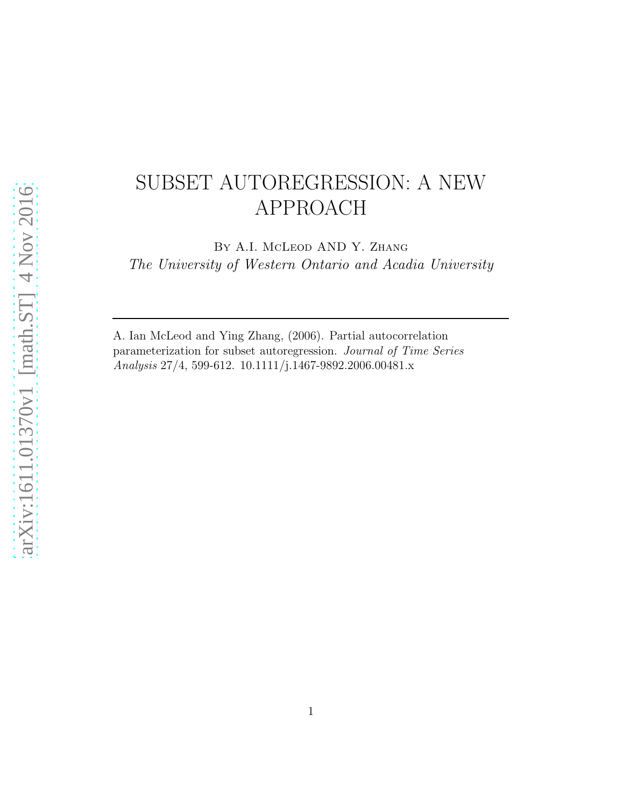# SUBSET AUTOREGRESSION: A NEW APPROACH

By A.I. McLeod AND Y. Zhang *The University of Western Ontario and Acadia University*

A. Ian McLeod and Ying Zhang, (2006). Partial autocorrelation parameterization for subset autoregression. *Journal of Time Series Analysis* 27/4, 599-612. 10.1111/j.1467-9892.2006.00481.x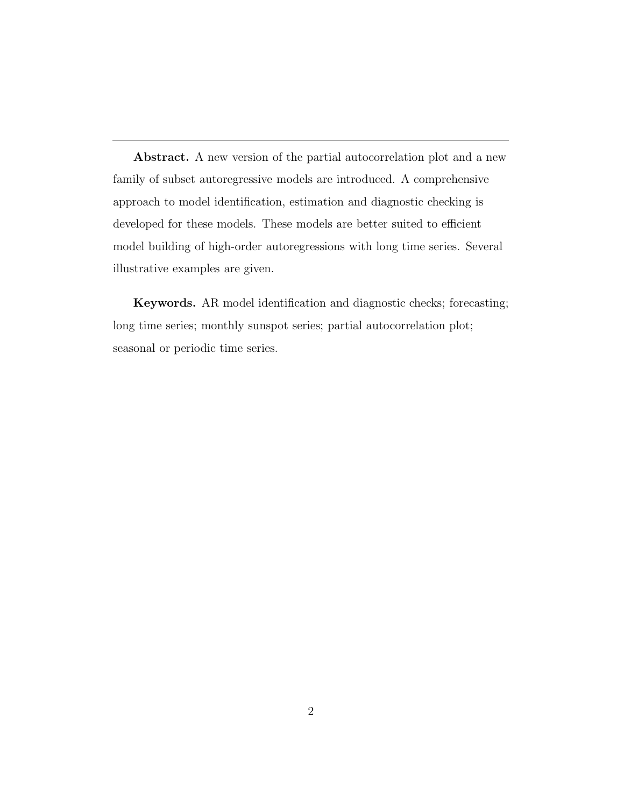Abstract. A new version of the partial autocorrelation plot and a new family of subset autoregressive models are introduced. A comprehensive approach to model identification, estimation and diagnostic checking is developed for these models. These models are better suited to efficient model building of high-order autoregressions with long time series. Several illustrative examples are given.

Keywords. AR model identification and diagnostic checks; forecasting; long time series; monthly sunspot series; partial autocorrelation plot; seasonal or periodic time series.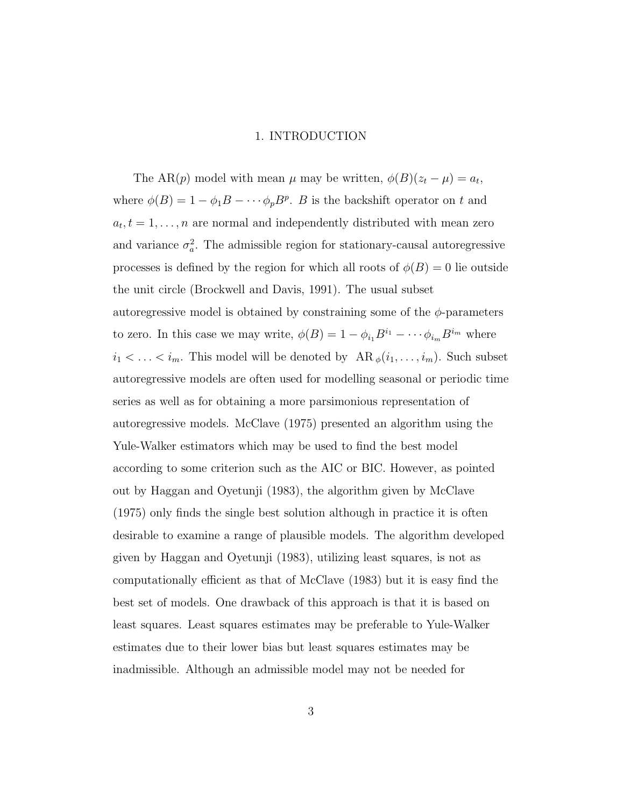## 1. INTRODUCTION

The AR(p) model with mean  $\mu$  may be written,  $\phi(B)(z_t - \mu) = a_t$ , where  $\phi(B) = 1 - \phi_1 B - \cdots + \phi_p B^p$ . B is the backshift operator on t and  $a_t, t = 1, \ldots, n$  are normal and independently distributed with mean zero and variance  $\sigma_a^2$ . The admissible region for stationary-causal autoregressive processes is defined by the region for which all roots of  $\phi(B) = 0$  lie outside the unit circle (Brockwell and Davis, 1991). The usual subset autoregressive model is obtained by constraining some of the  $\phi$ -parameters to zero. In this case we may write,  $\phi(B) = 1 - \phi_{i_1} B^{i_1} - \cdots \phi_{i_m} B^{i_m}$  where  $i_1 < \ldots < i_m$ . This model will be denoted by  $AR_{\phi}(i_1, \ldots, i_m)$ . Such subset autoregressive models are often used for modelling seasonal or periodic time series as well as for obtaining a more parsimonious representation of autoregressive models. McClave (1975) presented an algorithm using the Yule-Walker estimators which may be used to find the best model according to some criterion such as the AIC or BIC. However, as pointed out by Haggan and Oyetunji (1983), the algorithm given by McClave (1975) only finds the single best solution although in practice it is often desirable to examine a range of plausible models. The algorithm developed given by Haggan and Oyetunji (1983), utilizing least squares, is not as computationally efficient as that of McClave (1983) but it is easy find the best set of models. One drawback of this approach is that it is based on least squares. Least squares estimates may be preferable to Yule-Walker estimates due to their lower bias but least squares estimates may be inadmissible. Although an admissible model may not be needed for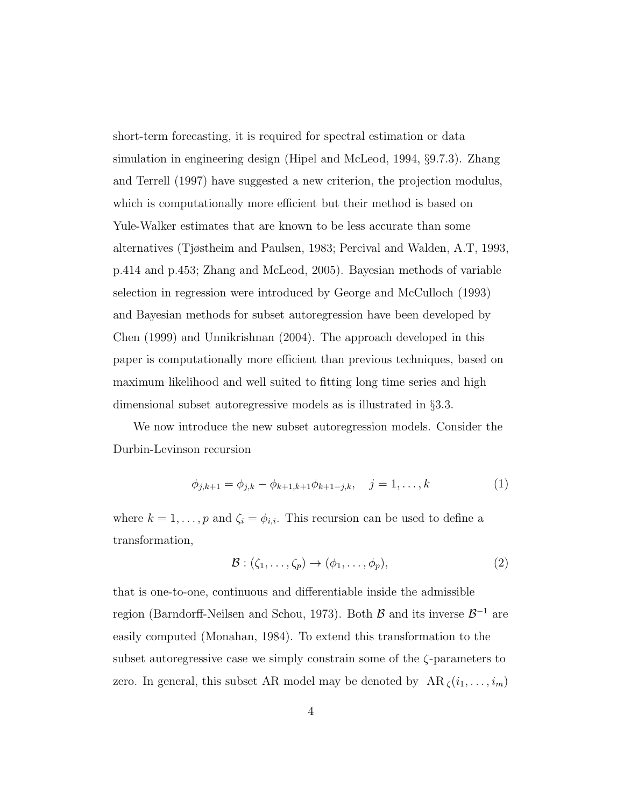short-term forecasting, it is required for spectral estimation or data simulation in engineering design (Hipel and McLeod, 1994, §9.7.3). Zhang and Terrell (1997) have suggested a new criterion, the projection modulus, which is computationally more efficient but their method is based on Yule-Walker estimates that are known to be less accurate than some alternatives (Tjøstheim and Paulsen, 1983; Percival and Walden, A.T, 1993, p.414 and p.453; Zhang and McLeod, 2005). Bayesian methods of variable selection in regression were introduced by George and McCulloch (1993) and Bayesian methods for subset autoregression have been developed by Chen (1999) and Unnikrishnan (2004). The approach developed in this paper is computationally more efficient than previous techniques, based on maximum likelihood and well suited to fitting long time series and high dimensional subset autoregressive models as is illustrated in §3.3.

We now introduce the new subset autoregression models. Consider the Durbin-Levinson recursion

$$
\phi_{j,k+1} = \phi_{j,k} - \phi_{k+1,k+1}\phi_{k+1-j,k}, \quad j = 1, \dots, k \tag{1}
$$

where  $k = 1, \ldots, p$  and  $\zeta_i = \phi_{i,i}$ . This recursion can be used to define a transformation,

$$
\mathcal{B}: (\zeta_1, \ldots, \zeta_p) \to (\phi_1, \ldots, \phi_p), \tag{2}
$$

that is one-to-one, continuous and differentiable inside the admissible region (Barndorff-Neilsen and Schou, 1973). Both  $\mathcal{B}$  and its inverse  $\mathcal{B}^{-1}$  are easily computed (Monahan, 1984). To extend this transformation to the subset autoregressive case we simply constrain some of the  $\zeta$ -parameters to zero. In general, this subset AR model may be denoted by  $AR_{\zeta}(i_1, \ldots, i_m)$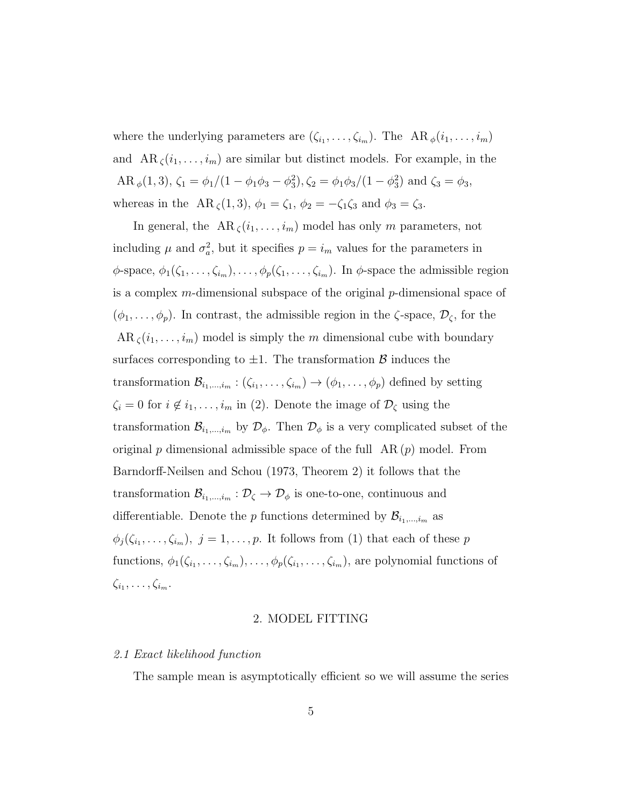where the underlying parameters are  $(\zeta_{i_1}, \ldots, \zeta_{i_m})$ . The AR  $_{\phi}(i_1, \ldots, i_m)$ and  $AR_\zeta(i_1,\ldots,i_m)$  are similar but distinct models. For example, in the AR  $_{\phi}(1,3)$ ,  $\zeta_1 = \phi_1/(1 - \phi_1\phi_3 - \phi_3^2)$ ,  $\zeta_2 = \phi_1\phi_3/(1 - \phi_3^2)$  and  $\zeta_3 = \phi_3$ , whereas in the AR  $\zeta(1,3)$ ,  $\phi_1 = \zeta_1$ ,  $\phi_2 = -\zeta_1 \zeta_3$  and  $\phi_3 = \zeta_3$ .

In general, the  $AR_\zeta(i_1,\ldots,i_m)$  model has only m parameters, not including  $\mu$  and  $\sigma_a^2$ , but it specifies  $p = i_m$  values for the parameters in  $\phi$ -space,  $\phi_1(\zeta_1,\ldots,\zeta_{i_m}),\ldots,\phi_p(\zeta_1,\ldots,\zeta_{i_m})$ . In  $\phi$ -space the admissible region is a complex  $m$ -dimensional subspace of the original  $p$ -dimensional space of  $(\phi_1, \ldots, \phi_p)$ . In contrast, the admissible region in the  $\zeta$ -space,  $\mathcal{D}_{\zeta}$ , for the  $AR_\zeta(i_1,\ldots,i_m)$  model is simply the m dimensional cube with boundary surfaces corresponding to  $\pm 1$ . The transformation  $\beta$  induces the transformation  $\mathcal{B}_{i_1,\dots,i_m}$ :  $(\zeta_{i_1},\dots,\zeta_{i_m}) \to (\phi_1,\dots,\phi_p)$  defined by setting  $\zeta_i = 0$  for  $i \notin i_1, \ldots, i_m$  in (2). Denote the image of  $\mathcal{D}_{\zeta}$  using the transformation  $\mathcal{B}_{i_1,\dots,i_m}$  by  $\mathcal{D}_{\phi}$ . Then  $\mathcal{D}_{\phi}$  is a very complicated subset of the original p dimensional admissible space of the full  $AR(p)$  model. From Barndorff-Neilsen and Schou (1973, Theorem 2) it follows that the transformation  $\mathcal{B}_{i_1,\dots,i_m} : \mathcal{D}_{\zeta} \to \mathcal{D}_{\phi}$  is one-to-one, continuous and differentiable. Denote the p functions determined by  $\mathcal{B}_{i_1,\dots,i_m}$  as  $\phi_j(\zeta_{i_1},\ldots,\zeta_{i_m}),\ j=1,\ldots,p.$  It follows from (1) that each of these p functions,  $\phi_1(\zeta_{i_1},\ldots,\zeta_{i_m}),\ldots,\phi_p(\zeta_{i_1},\ldots,\zeta_{i_m}),$  are polynomial functions of  $\zeta_{i_1},\ldots,\zeta_{i_m}.$ 

## 2. MODEL FITTING

## *2.1 Exact likelihood function*

The sample mean is asymptotically efficient so we will assume the series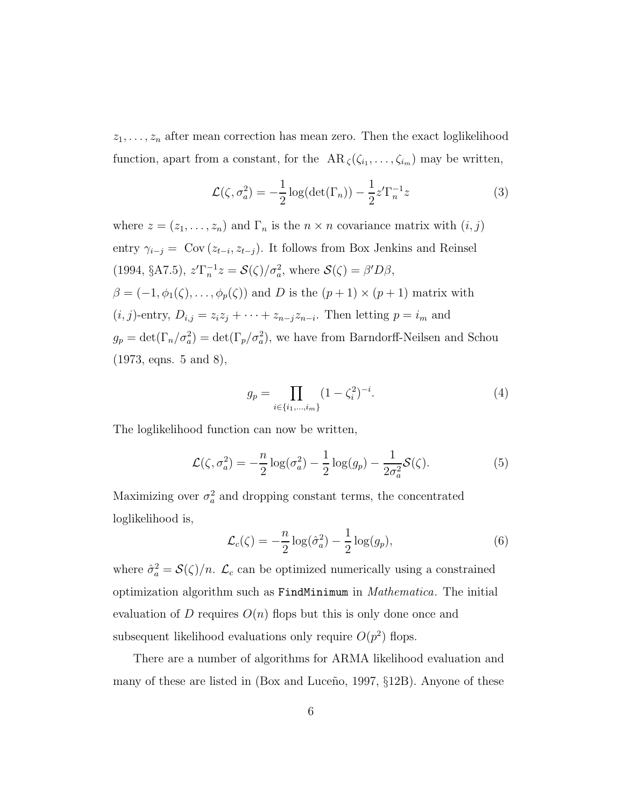$z_1, \ldots, z_n$  after mean correction has mean zero. Then the exact loglikelihood function, apart from a constant, for the  $AR_{\zeta}(\zeta_{i_1},\ldots,\zeta_{i_m})$  may be written,

$$
\mathcal{L}(\zeta, \sigma_a^2) = -\frac{1}{2}\log(\det(\Gamma_n)) - \frac{1}{2}z'\Gamma_n^{-1}z
$$
\n(3)

where  $z = (z_1, \ldots, z_n)$  and  $\Gamma_n$  is the  $n \times n$  covariance matrix with  $(i, j)$ entry  $\gamma_{i-j} = \text{Cov}(z_{t-i}, z_{t-j})$ . It follows from Box Jenkins and Reinsel (1994, §A7.5),  $z'\Gamma_n^{-1}z = \mathcal{S}(\zeta)/\sigma_a^2$ , where  $\mathcal{S}(\zeta) = \beta'D\beta$ ,  $\beta = (-1, \phi_1(\zeta), \ldots, \phi_p(\zeta))$  and D is the  $(p+1) \times (p+1)$  matrix with  $(i, j)$ -entry,  $D_{i,j} = z_i z_j + \cdots + z_{n-j} z_{n-i}$ . Then letting  $p = i_m$  and  $g_p = \det(\Gamma_n/\sigma_a^2) = \det(\Gamma_p/\sigma_a^2)$ , we have from Barndorff-Neilsen and Schou (1973, eqns. 5 and 8),

$$
g_p = \prod_{i \in \{i_1, \dots, i_m\}} (1 - \zeta_i^2)^{-i}.
$$
 (4)

The loglikelihood function can now be written,

$$
\mathcal{L}(\zeta, \sigma_a^2) = -\frac{n}{2}\log(\sigma_a^2) - \frac{1}{2}\log(g_p) - \frac{1}{2\sigma_a^2}\mathcal{S}(\zeta).
$$
 (5)

Maximizing over  $\sigma_a^2$  and dropping constant terms, the concentrated loglikelihood is,

$$
\mathcal{L}_c(\zeta) = -\frac{n}{2}\log(\hat{\sigma}_a^2) - \frac{1}{2}\log(g_p),\tag{6}
$$

where  $\hat{\sigma}_a^2 = \mathcal{S}(\zeta)/n$ .  $\mathcal{L}_c$  can be optimized numerically using a constrained optimization algorithm such as FindMinimum in *Mathematica*. The initial evaluation of D requires  $O(n)$  flops but this is only done once and subsequent likelihood evaluations only require  $O(p^2)$  flops.

There are a number of algorithms for ARMA likelihood evaluation and many of these are listed in  $(Box)$  and Luceño, 1997,  $\S12B$ ). Anyone of these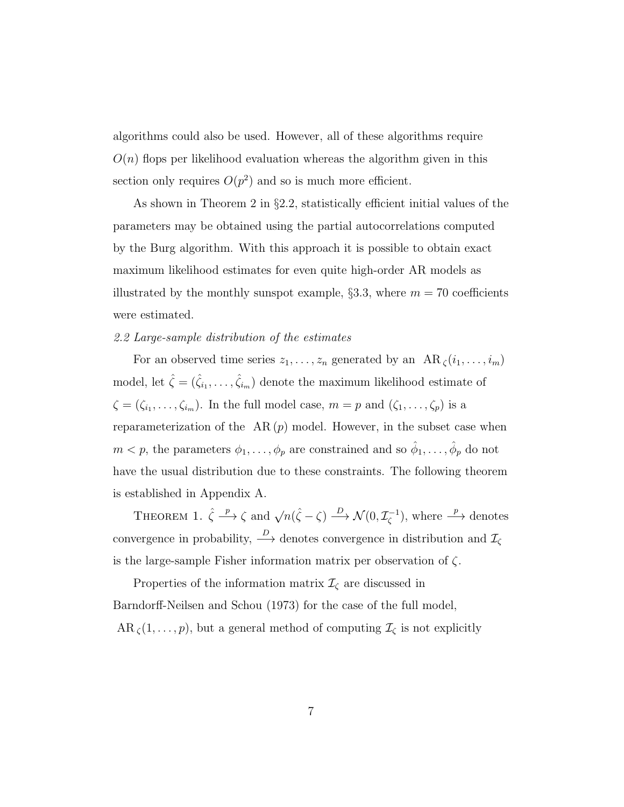algorithms could also be used. However, all of these algorithms require  $O(n)$  flops per likelihood evaluation whereas the algorithm given in this section only requires  $O(p^2)$  and so is much more efficient.

As shown in Theorem 2 in §2.2, statistically efficient initial values of the parameters may be obtained using the partial autocorrelations computed by the Burg algorithm. With this approach it is possible to obtain exact maximum likelihood estimates for even quite high-order AR models as illustrated by the monthly sunspot example,  $\S 3.3$ , where  $m = 70$  coefficients were estimated.

# *2.2 Large-sample distribution of the estimates*

For an observed time series  $z_1, \ldots, z_n$  generated by an  $AR_\zeta(i_1, \ldots, i_m)$ model, let  $\hat{\zeta} = (\hat{\zeta}_{i_1}, \dots, \hat{\zeta}_{i_m})$  denote the maximum likelihood estimate of  $\zeta = (\zeta_{i_1}, \ldots, \zeta_{i_m})$ . In the full model case,  $m = p$  and  $(\zeta_1, \ldots, \zeta_p)$  is a reparameterization of the  $AR(p)$  model. However, in the subset case when  $m < p$ , the parameters  $\phi_1, \ldots, \phi_p$  are constrained and so  $\hat{\phi}_1, \ldots, \hat{\phi}_p$  do not have the usual distribution due to these constraints. The following theorem is established in Appendix A.

THEOREM 1.  $\hat{\zeta} \stackrel{p}{\longrightarrow} \zeta$  and  $\sqrt{n}(\hat{\zeta} - \zeta) \stackrel{D}{\longrightarrow} \mathcal{N}(0, \mathcal{I}_{\zeta}^{-1})$ , where  $\stackrel{p}{\longrightarrow}$  denotes convergence in probability,  $\stackrel{D}{\longrightarrow}$  denotes convergence in distribution and  $\mathcal{I}_{\zeta}$ is the large-sample Fisher information matrix per observation of ζ.

Properties of the information matrix  $\mathcal{I}_{\zeta}$  are discussed in Barndorff-Neilsen and Schou (1973) for the case of the full model,  $AR_\zeta(1,\ldots,p)$ , but a general method of computing  $\mathcal{I}_\zeta$  is not explicitly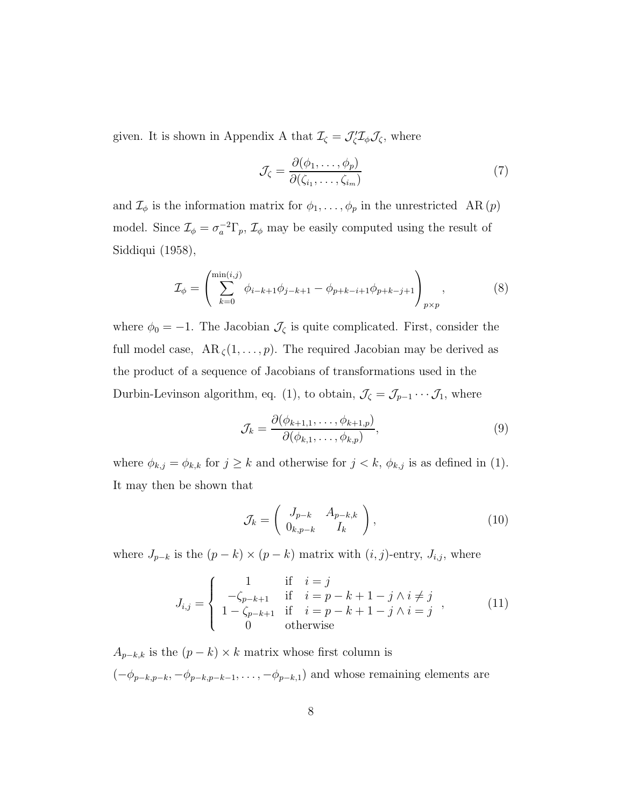given. It is shown in Appendix A that  $\mathcal{I}_{\zeta} = \mathcal{J}'_{\zeta} \mathcal{I}_{\zeta} \mathcal{J}_{\zeta}$ , where

$$
\mathcal{J}_{\zeta} = \frac{\partial(\phi_1, \dots, \phi_p)}{\partial(\zeta_{i_1}, \dots, \zeta_{i_m})}
$$
(7)

and  $\mathcal{I}_{\phi}$  is the information matrix for  $\phi_1, \ldots, \phi_p$  in the unrestricted AR  $(p)$ model. Since  $\mathcal{I}_{\phi} = \sigma_a^{-2} \Gamma_p$ ,  $\mathcal{I}_{\phi}$  may be easily computed using the result of Siddiqui (1958),

$$
\mathcal{I}_{\phi} = \left( \sum_{k=0}^{\min(i,j)} \phi_{i-k+1} \phi_{j-k+1} - \phi_{p+k-i+1} \phi_{p+k-j+1} \right)_{p \times p}, \qquad (8)
$$

where  $\phi_0 = -1$ . The Jacobian  $\mathcal{J}_{\zeta}$  is quite complicated. First, consider the full model case,  $AR_\zeta(1,\ldots,p)$ . The required Jacobian may be derived as the product of a sequence of Jacobians of transformations used in the Durbin-Levinson algorithm, eq. (1), to obtain,  $\mathcal{J}_{\zeta} = \mathcal{J}_{p-1} \cdots \mathcal{J}_1$ , where

$$
\mathcal{J}_k = \frac{\partial(\phi_{k+1,1}, \dots, \phi_{k+1,p})}{\partial(\phi_{k,1}, \dots, \phi_{k,p})},\tag{9}
$$

where  $\phi_{k,j} = \phi_{k,k}$  for  $j \geq k$  and otherwise for  $j < k$ ,  $\phi_{k,j}$  is as defined in (1). It may then be shown that

$$
\mathcal{J}_k = \left( \begin{array}{cc} J_{p-k} & A_{p-k,k} \\ 0_{k,p-k} & I_k \end{array} \right),\tag{10}
$$

where  $J_{p-k}$  is the  $(p-k) \times (p-k)$  matrix with  $(i, j)$ -entry,  $J_{i,j}$ , where

$$
J_{i,j} = \begin{cases} 1 & \text{if } i = j \\ -\zeta_{p-k+1} & \text{if } i = p-k+1-j \land i \neq j \\ 1 - \zeta_{p-k+1} & \text{if } i = p-k+1-j \land i = j \\ 0 & \text{otherwise} \end{cases}
$$
 (11)

 $A_{p-k,k}$  is the  $(p - k) \times k$  matrix whose first column is  $(-\phi_{p-k,p-k}, -\phi_{p-k,p-k-1}, \ldots, -\phi_{p-k,1})$  and whose remaining elements are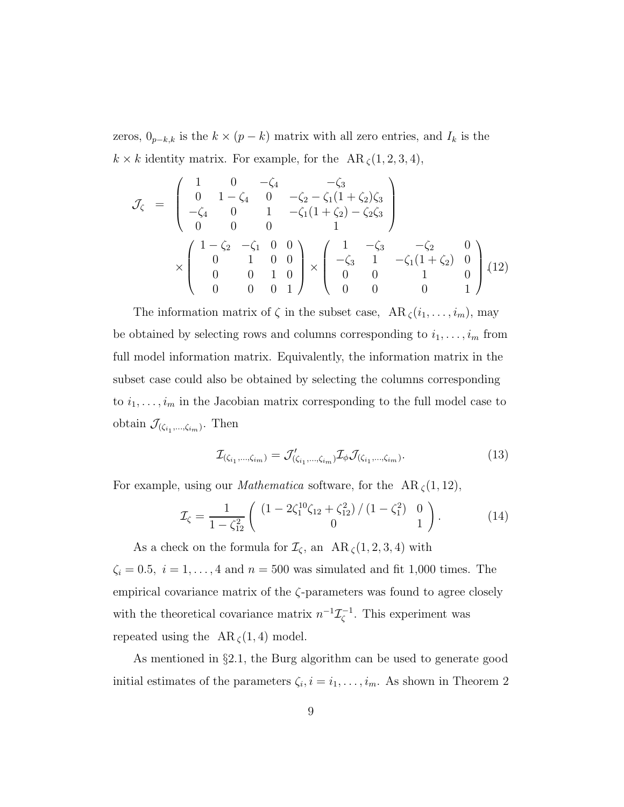zeros,  $0_{p-k,k}$  is the  $k \times (p-k)$  matrix with all zero entries, and  $I_k$  is the  $k \times k$  identity matrix. For example, for the AR  $\zeta(1, 2, 3, 4)$ ,

$$
\mathcal{J}_{\zeta} = \begin{pmatrix}\n1 & 0 & -\zeta_4 & -\zeta_3 \\
0 & 1 - \zeta_4 & 0 & -\zeta_2 - \zeta_1 (1 + \zeta_2) \zeta_3 \\
-\zeta_4 & 0 & 1 & -\zeta_1 (1 + \zeta_2) - \zeta_2 \zeta_3 \\
0 & 0 & 0 & 1\n\end{pmatrix}\n\times\n\begin{pmatrix}\n1 - \zeta_2 & -\zeta_1 & 0 & 0 \\
0 & 1 & 0 & 0 \\
0 & 0 & 1 & 0 \\
0 & 0 & 0 & 1\n\end{pmatrix}\n\times\n\begin{pmatrix}\n1 & -\zeta_3 & -\zeta_2 & 0 \\
-\zeta_3 & 1 & -\zeta_1 (1 + \zeta_2) & 0 \\
0 & 0 & 1 & 0 \\
0 & 0 & 0 & 1\n\end{pmatrix}
$$
(12)

The information matrix of  $\zeta$  in the subset case,  $AR_{\zeta}(i_1,\ldots,i_m)$ , may be obtained by selecting rows and columns corresponding to  $i_1, \ldots, i_m$  from full model information matrix. Equivalently, the information matrix in the subset case could also be obtained by selecting the columns corresponding to  $i_1, \ldots, i_m$  in the Jacobian matrix corresponding to the full model case to obtain  $\mathcal{J}_{(\zeta_{i_1},\ldots,\zeta_{i_m})}$ . Then

$$
\mathcal{I}_{(\zeta_{i_1},\ldots,\zeta_{i_m})} = \mathcal{J}'_{(\zeta_{i_1},\ldots,\zeta_{i_m})} \mathcal{I}_{\phi} \mathcal{J}_{(\zeta_{i_1},\ldots,\zeta_{i_m})}.
$$
\n(13)

For example, using our *Mathematica* software, for the AR  $\zeta(1, 12)$ ,

$$
\mathcal{I}_{\zeta} = \frac{1}{1 - \zeta_{12}^2} \left( \begin{array}{cc} \left(1 - 2\zeta_1^{10}\zeta_{12} + \zeta_{12}^2\right) / \left(1 - \zeta_1^2\right) & 0\\ 0 & 1 \end{array} \right). \tag{14}
$$

As a check on the formula for  $\mathcal{I}_{\zeta}$ , an  $AR_{\zeta}(1, 2, 3, 4)$  with  $\zeta_i = 0.5, i = 1, \ldots, 4$  and  $n = 500$  was simulated and fit 1,000 times. The empirical covariance matrix of the  $\zeta$ -parameters was found to agree closely with the theoretical covariance matrix  $n^{-1}\mathcal{I}_{\zeta}^{-1}$ . This experiment was repeated using the  $AR_\zeta(1,4)$  model.

As mentioned in §2.1, the Burg algorithm can be used to generate good initial estimates of the parameters  $\zeta_i$ ,  $i = i_1, \ldots, i_m$ . As shown in Theorem 2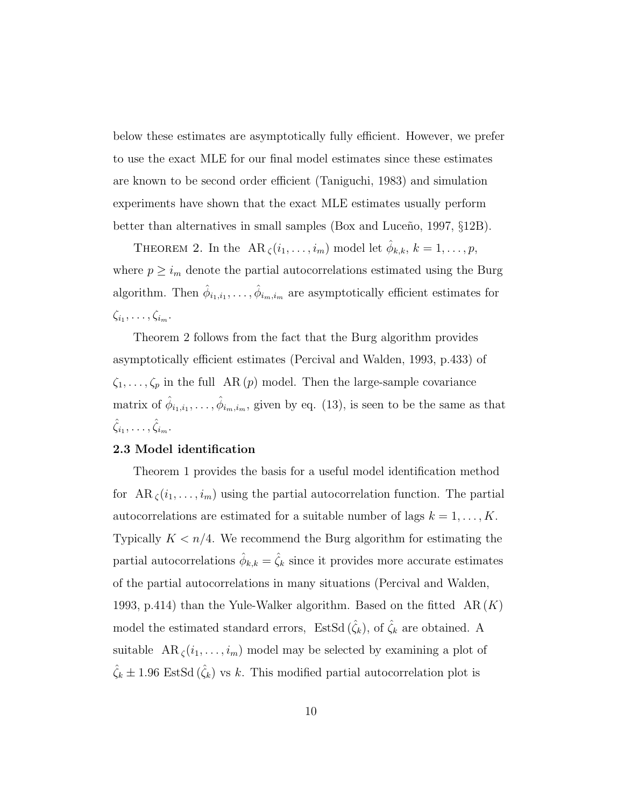below these estimates are asymptotically fully efficient. However, we prefer to use the exact MLE for our final model estimates since these estimates are known to be second order efficient (Taniguchi, 1983) and simulation experiments have shown that the exact MLE estimates usually perform better than alternatives in small samples (Box and Luceño, 1997,  $\S 12B$ ).

THEOREM 2. In the  $AR_\zeta(i_1,\ldots,i_m)$  model let  $\hat{\phi}_{k,k}, k=1,\ldots,p$ , where  $p \geq i_m$  denote the partial autocorrelations estimated using the Burg algorithm. Then  $\hat{\phi}_{i_1,i_1}, \ldots, \hat{\phi}_{i_m,i_m}$  are asymptotically efficient estimates for  $\zeta_{i_1},\ldots,\zeta_{i_m}.$ 

Theorem 2 follows from the fact that the Burg algorithm provides asymptotically efficient estimates (Percival and Walden, 1993, p.433) of  $\zeta_1, \ldots, \zeta_p$  in the full AR $(p)$  model. Then the large-sample covariance matrix of  $\hat{\phi}_{i_1,i_1},\ldots,\hat{\phi}_{i_m,i_m}$ , given by eq. (13), is seen to be the same as that  $\hat{\zeta}_{i_1}, \ldots, \hat{\zeta}_{i_m}.$ 

#### 2.3 Model identification

Theorem 1 provides the basis for a useful model identification method for  $AR_\zeta(i_1,\ldots,i_m)$  using the partial autocorrelation function. The partial autocorrelations are estimated for a suitable number of lags  $k = 1, \ldots, K$ . Typically  $K < n/4$ . We recommend the Burg algorithm for estimating the partial autocorrelations  $\hat{\phi}_{k,k} = \hat{\zeta}_k$  since it provides more accurate estimates of the partial autocorrelations in many situations (Percival and Walden, 1993, p.414) than the Yule-Walker algorithm. Based on the fitted  $AR(K)$ model the estimated standard errors, EstSd  $(\hat{\zeta}_k)$ , of  $\hat{\zeta}_k$  are obtained. A suitable  $AR_\zeta(i_1,\ldots,i_m)$  model may be selected by examining a plot of  $\hat{\zeta}_k \pm 1.96$  EstSd  $(\hat{\zeta}_k)$  vs k. This modified partial autocorrelation plot is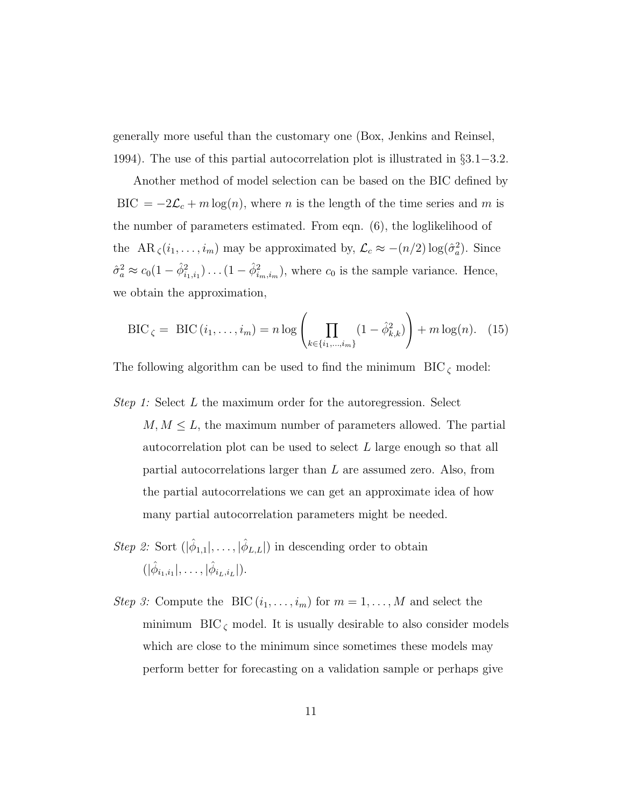generally more useful than the customary one (Box, Jenkins and Reinsel, 1994). The use of this partial autocorrelation plot is illustrated in §3.1−3.2.

Another method of model selection can be based on the BIC defined by BIC =  $-2\mathcal{L}_c + m \log(n)$ , where *n* is the length of the time series and *m* is the number of parameters estimated. From eqn. (6), the loglikelihood of the AR<sub> $\zeta$ </sub> $(i_1, \ldots, i_m)$  may be approximated by,  $\mathcal{L}_c \approx -(n/2) \log(\hat{\sigma}_a^2)$ . Since  $\hat{\sigma}_a^2 \approx c_0(1-\hat{\phi}_{i_1,i_1}^2)\dots(1-\hat{\phi}_{i_m,i_m}^2)$ , where  $c_0$  is the sample variance. Hence, we obtain the approximation,

$$
BIC_{\zeta} = BIC(i_1, ..., i_m) = n \log \left( \prod_{k \in \{i_1, ..., i_m\}} (1 - \hat{\phi}_{k,k}^2) \right) + m \log(n). \quad (15)
$$

The following algorithm can be used to find the minimum  $BIC_{\zeta}$  model:

- *Step 1:* Select L the maximum order for the autoregression. Select  $M, M \leq L$ , the maximum number of parameters allowed. The partial autocorrelation plot can be used to select L large enough so that all partial autocorrelations larger than L are assumed zero. Also, from the partial autocorrelations we can get an approximate idea of how many partial autocorrelation parameters might be needed.
- *Step 2:* Sort  $(|\hat{\phi}_{1,1}|, \ldots, |\hat{\phi}_{L,L}|)$  in descending order to obtain  $(|\hat{\phi}_{i_1,i_1}|,\ldots,|\hat{\phi}_{i_L,i_L}|).$
- *Step 3:* Compute the BIC  $(i_1, \ldots, i_m)$  for  $m = 1, \ldots, M$  and select the minimum  $BIC_{\zeta}$  model. It is usually desirable to also consider models which are close to the minimum since sometimes these models may perform better for forecasting on a validation sample or perhaps give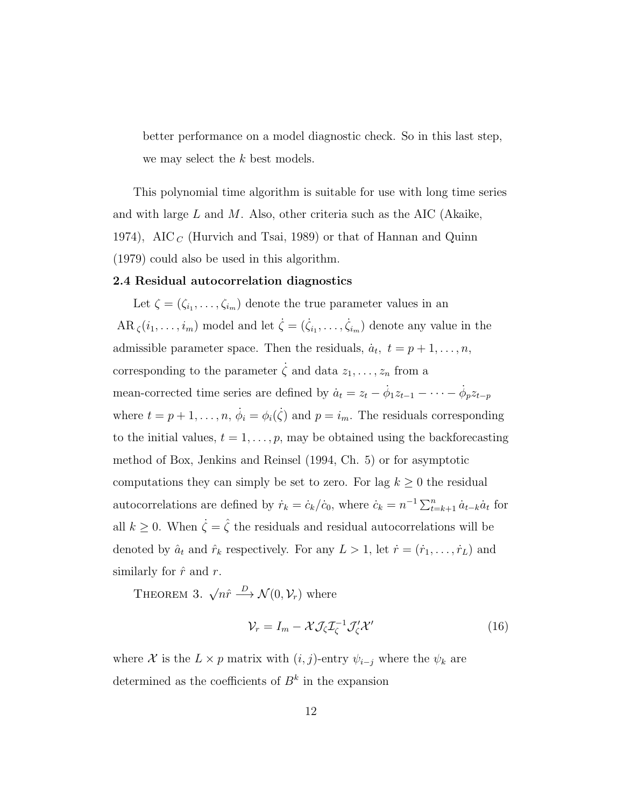better performance on a model diagnostic check. So in this last step, we may select the k best models.

This polynomial time algorithm is suitable for use with long time series and with large  $L$  and  $M$ . Also, other criteria such as the AIC (Akaike, 1974), AIC  $_C$  (Hurvich and Tsai, 1989) or that of Hannan and Quinn (1979) could also be used in this algorithm.

#### 2.4 Residual autocorrelation diagnostics

Let  $\zeta = (\zeta_{i_1}, \ldots, \zeta_{i_m})$  denote the true parameter values in an  $AR_{\zeta}(i_1,\ldots,i_m)$  model and let  $\dot{\zeta}=(\dot{\zeta}_{i_1},\ldots,\dot{\zeta}_{i_m})$  denote any value in the admissible parameter space. Then the residuals,  $\dot{a}_t$ ,  $t = p + 1, \ldots, n$ , corresponding to the parameter  $\dot{\zeta}$  and data  $z_1, \ldots, z_n$  from a mean-corrected time series are defined by  $\dot{a}_t = z_t - \dot{\phi}_1 z_{t-1} - \cdots - \dot{\phi}_p z_{t-p}$ where  $t = p + 1, \ldots, n$ ,  $\dot{\phi}_i = \phi_i(\dot{\zeta})$  and  $p = i_m$ . The residuals corresponding to the initial values,  $t = 1, \ldots, p$ , may be obtained using the backforecasting method of Box, Jenkins and Reinsel (1994, Ch. 5) or for asymptotic computations they can simply be set to zero. For lag  $k \geq 0$  the residual autocorrelations are defined by  $\dot{r}_k = \dot{c}_k/\dot{c}_0$ , where  $\dot{c}_k = n^{-1} \sum_{t=k+1}^n \dot{a}_{t-k} \dot{a}_t$  for all  $k \geq 0$ . When  $\dot{\zeta} = \hat{\zeta}$  the residuals and residual autocorrelations will be denoted by  $\hat{a}_t$  and  $\hat{r}_k$  respectively. For any  $L > 1$ , let  $\dot{r} = (\dot{r}_1, \dots, \dot{r}_L)$  and similarly for  $\hat{r}$  and r.

THEOREM 3.  $\sqrt{n}\hat{r} \stackrel{D}{\longrightarrow} \mathcal{N}(0,\mathcal{V}_r)$  where

$$
\mathcal{V}_r = I_m - \mathcal{X} \mathcal{J}_\zeta \mathcal{I}_\zeta^{-1} \mathcal{J}_\zeta' \mathcal{X}' \tag{16}
$$

where X is the  $L \times p$  matrix with  $(i, j)$ -entry  $\psi_{i-j}$  where the  $\psi_k$  are determined as the coefficients of  $B<sup>k</sup>$  in the expansion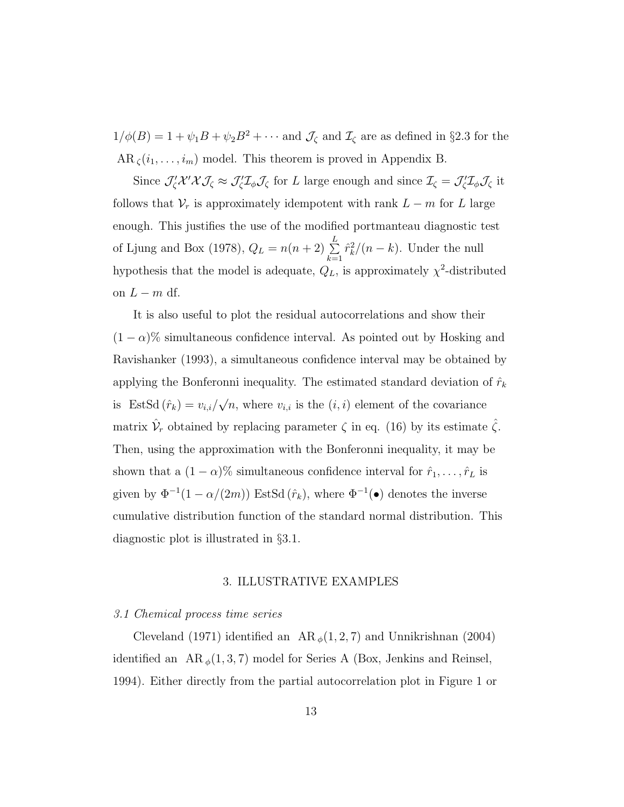$1/\phi(B) = 1 + \psi_1 B + \psi_2 B^2 + \cdots$  and  $\mathcal{J}_{\zeta}$  and  $\mathcal{I}_{\zeta}$  are as defined in §2.3 for the  $AR_\zeta(i_1,\ldots,i_m)$  model. This theorem is proved in Appendix B.

Since  $\mathcal{J}'_{\zeta} \mathcal{X}' \mathcal{X} \mathcal{J}_{\zeta} \approx \mathcal{J}'_{\zeta} \mathcal{I}_{\zeta}$  for L large enough and since  $\mathcal{I}_{\zeta} = \mathcal{J}'_{\zeta} \mathcal{I}_{\zeta} \mathcal{J}_{\zeta}$  it follows that  $\mathcal{V}_r$  is approximately idempotent with rank  $L - m$  for L large enough. This justifies the use of the modified portmanteau diagnostic test of Ljung and Box (1978),  $Q_L = n(n+2) \sum_{l=1}^{L}$  $_{k=1}$  $\hat{r}_k^2/(n-k)$ . Under the null hypothesis that the model is adequate,  $Q_L$ , is approximately  $\chi^2$ -distributed on  $L - m$  df.

It is also useful to plot the residual autocorrelations and show their  $(1 - \alpha)$ % simultaneous confidence interval. As pointed out by Hosking and Ravishanker (1993), a simultaneous confidence interval may be obtained by applying the Bonferonni inequality. The estimated standard deviation of  $\hat{r}_k$ is EstSd  $(\hat{r}_k) = v_{i,i}/\sqrt{n}$ , where  $v_{i,i}$  is the  $(i,i)$  element of the covariance matrix  $\hat{V}_r$  obtained by replacing parameter  $\zeta$  in eq. (16) by its estimate  $\hat{\zeta}$ . Then, using the approximation with the Bonferonni inequality, it may be shown that a  $(1 - \alpha)$ % simultaneous confidence interval for  $\hat{r}_1, \ldots, \hat{r}_L$  is given by  $\Phi^{-1}(1-\alpha/(2m))$  EstSd  $(\hat{r}_k)$ , where  $\Phi^{-1}(\bullet)$  denotes the inverse cumulative distribution function of the standard normal distribution. This diagnostic plot is illustrated in §3.1.

#### 3. ILLUSTRATIVE EXAMPLES

#### *3.1 Chemical process time series*

Cleveland (1971) identified an AR  $_{\phi}(1, 2, 7)$  and Unnikrishnan (2004) identified an  $AR_{\phi}(1,3,7)$  model for Series A (Box, Jenkins and Reinsel, 1994). Either directly from the partial autocorrelation plot in Figure 1 or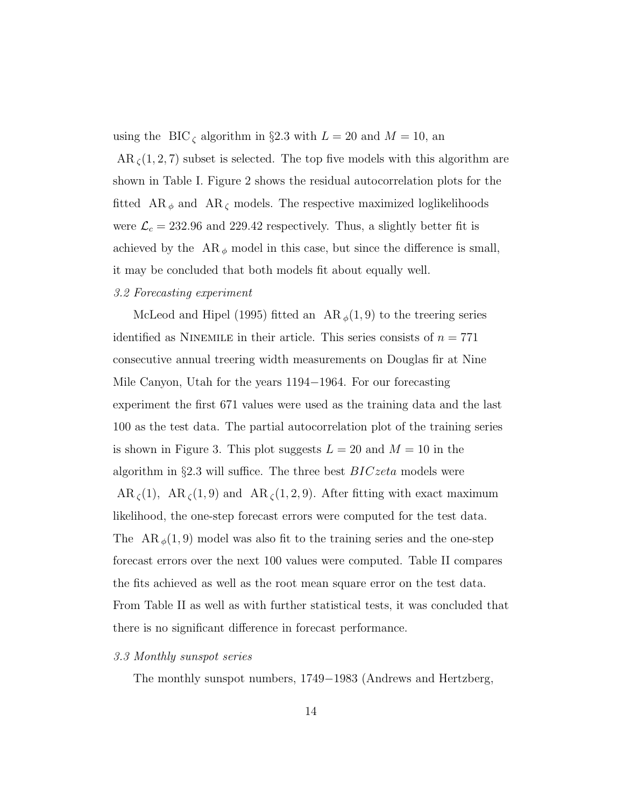using the BIC<sub> $\zeta$ </sub> algorithm in §2.3 with  $L = 20$  and  $M = 10$ , an

 $AR_{\zeta}(1,2,7)$  subset is selected. The top five models with this algorithm are shown in Table I. Figure 2 shows the residual autocorrelation plots for the fitted  $AR_{\phi}$  and  $AR_{\zeta}$  models. The respective maximized loglikelihoods were  $\mathcal{L}_c = 232.96$  and 229.42 respectively. Thus, a slightly better fit is achieved by the  $AR_{\phi}$  model in this case, but since the difference is small, it may be concluded that both models fit about equally well.

#### *3.2 Forecasting experiment*

McLeod and Hipel (1995) fitted an  $AR_{\phi}(1,9)$  to the treering series identified as NINEMILE in their article. This series consists of  $n = 771$ consecutive annual treering width measurements on Douglas fir at Nine Mile Canyon, Utah for the years 1194−1964. For our forecasting experiment the first 671 values were used as the training data and the last 100 as the test data. The partial autocorrelation plot of the training series is shown in Figure 3. This plot suggests  $L = 20$  and  $M = 10$  in the algorithm in  $\S 2.3$  will suffice. The three best  $BICzeta$  models were  $AR_\zeta(1)$ ,  $AR_\zeta(1,9)$  and  $AR_\zeta(1,2,9)$ . After fitting with exact maximum likelihood, the one-step forecast errors were computed for the test data. The AR  $_{\phi}(1,9)$  model was also fit to the training series and the one-step forecast errors over the next 100 values were computed. Table II compares the fits achieved as well as the root mean square error on the test data. From Table II as well as with further statistical tests, it was concluded that there is no significant difference in forecast performance.

#### *3.3 Monthly sunspot series*

The monthly sunspot numbers, 1749−1983 (Andrews and Hertzberg,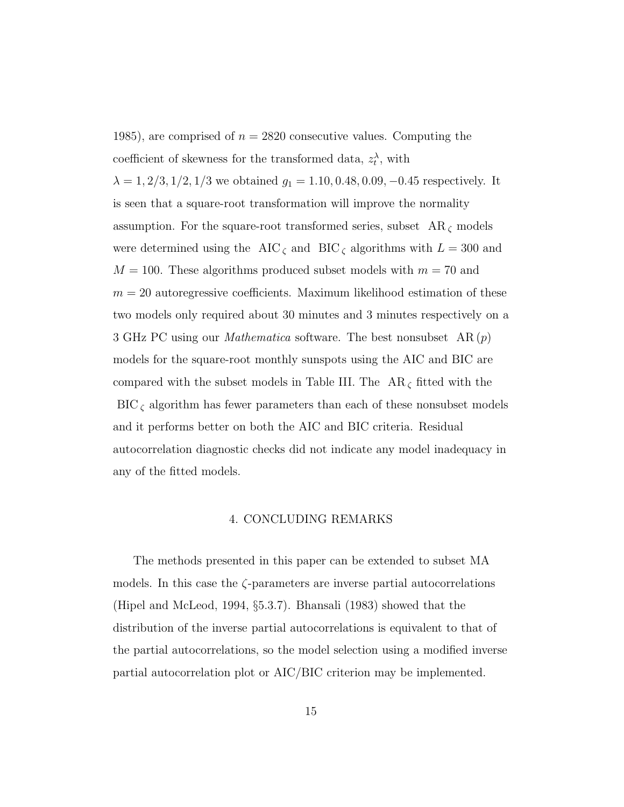1985), are comprised of  $n = 2820$  consecutive values. Computing the coefficient of skewness for the transformed data,  $z_t^{\lambda}$ , with  $\lambda = 1, 2/3, 1/2, 1/3$  we obtained  $g_1 = 1.10, 0.48, 0.09, -0.45$  respectively. It is seen that a square-root transformation will improve the normality assumption. For the square-root transformed series, subset  $AR_{\zeta}$  models were determined using the AIC  $_{\zeta}$  and BIC  $_{\zeta}$  algorithms with  $L = 300$  and  $M = 100$ . These algorithms produced subset models with  $m = 70$  and  $m = 20$  autoregressive coefficients. Maximum likelihood estimation of these two models only required about 30 minutes and 3 minutes respectively on a 3 GHz PC using our *Mathematica* software. The best nonsubset AR (p) models for the square-root monthly sunspots using the AIC and BIC are compared with the subset models in Table III. The  $AR_{\zeta}$  fitted with the  $\mathrm{BIC}_\zeta$  algorithm has fewer parameters than each of these nonsubset models and it performs better on both the AIC and BIC criteria. Residual autocorrelation diagnostic checks did not indicate any model inadequacy in any of the fitted models.

#### 4. CONCLUDING REMARKS

The methods presented in this paper can be extended to subset MA models. In this case the  $\zeta$ -parameters are inverse partial autocorrelations (Hipel and McLeod, 1994, §5.3.7). Bhansali (1983) showed that the distribution of the inverse partial autocorrelations is equivalent to that of the partial autocorrelations, so the model selection using a modified inverse partial autocorrelation plot or AIC/BIC criterion may be implemented.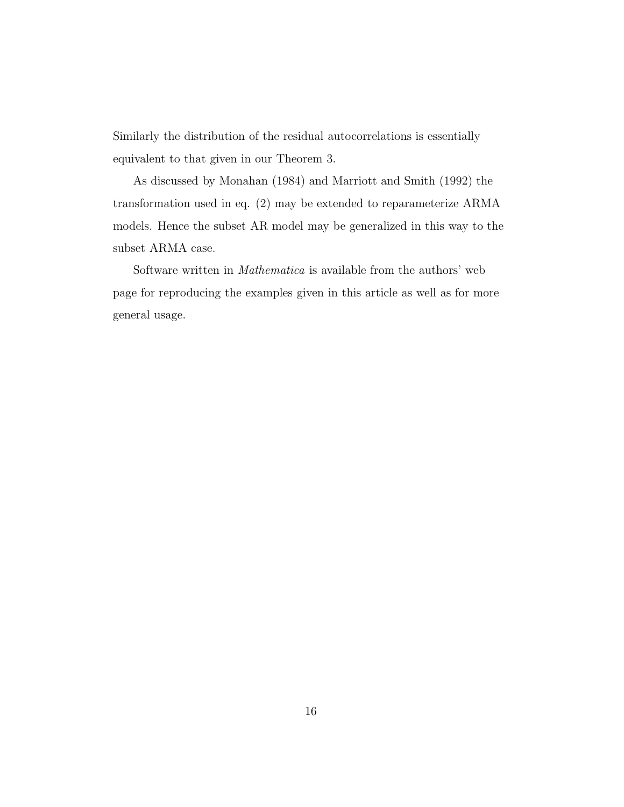Similarly the distribution of the residual autocorrelations is essentially equivalent to that given in our Theorem 3.

As discussed by Monahan (1984) and Marriott and Smith (1992) the transformation used in eq. (2) may be extended to reparameterize ARMA models. Hence the subset AR model may be generalized in this way to the subset ARMA case.

Software written in *Mathematica* is available from the authors' web page for reproducing the examples given in this article as well as for more general usage.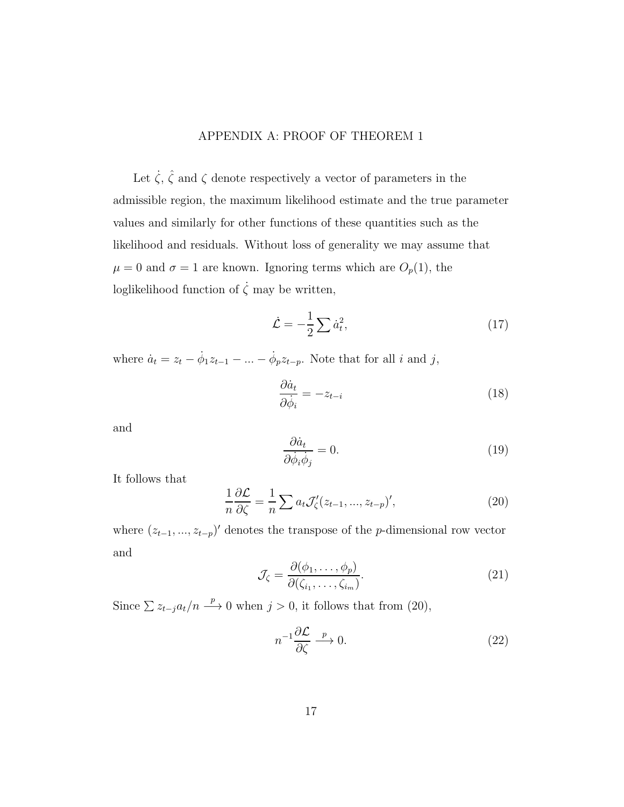# APPENDIX A: PROOF OF THEOREM 1

Let  $\dot{\zeta}$ ,  $\hat{\zeta}$  and  $\zeta$  denote respectively a vector of parameters in the admissible region, the maximum likelihood estimate and the true parameter values and similarly for other functions of these quantities such as the likelihood and residuals. Without loss of generality we may assume that  $\mu = 0$  and  $\sigma = 1$  are known. Ignoring terms which are  $O_p(1)$ , the loglikelihood function of  $\dot{\zeta}$  may be written,

$$
\dot{\mathcal{L}} = -\frac{1}{2} \sum \dot{a}_t^2,\tag{17}
$$

where  $\dot{a}_t = z_t - \dot{\phi}_1 z_{t-1} - \dots - \dot{\phi}_p z_{t-p}$ . Note that for all *i* and *j*,

$$
\frac{\partial \dot{a}_t}{\partial \dot{\phi}_i} = -z_{t-i} \tag{18}
$$

and

$$
\frac{\partial \dot{a}_t}{\partial \dot{\phi}_i \dot{\phi}_j} = 0.
$$
\n(19)

It follows that

$$
\frac{1}{n}\frac{\partial \mathcal{L}}{\partial \zeta} = \frac{1}{n}\sum a_t \mathcal{J}'_{\zeta}(z_{t-1}, ..., z_{t-p})',\tag{20}
$$

where  $(z_{t-1},...,z_{t-p})'$  denotes the transpose of the p-dimensional row vector and

$$
\mathcal{J}_{\zeta} = \frac{\partial(\phi_1, \dots, \phi_p)}{\partial(\zeta_{i_1}, \dots, \zeta_{i_m})}.
$$
\n(21)

Since  $\sum z_{t-j} a_t/n \stackrel{p}{\longrightarrow} 0$  when  $j > 0$ , it follows that from (20),

$$
n^{-1}\frac{\partial \mathcal{L}}{\partial \zeta} \xrightarrow{p} 0. \tag{22}
$$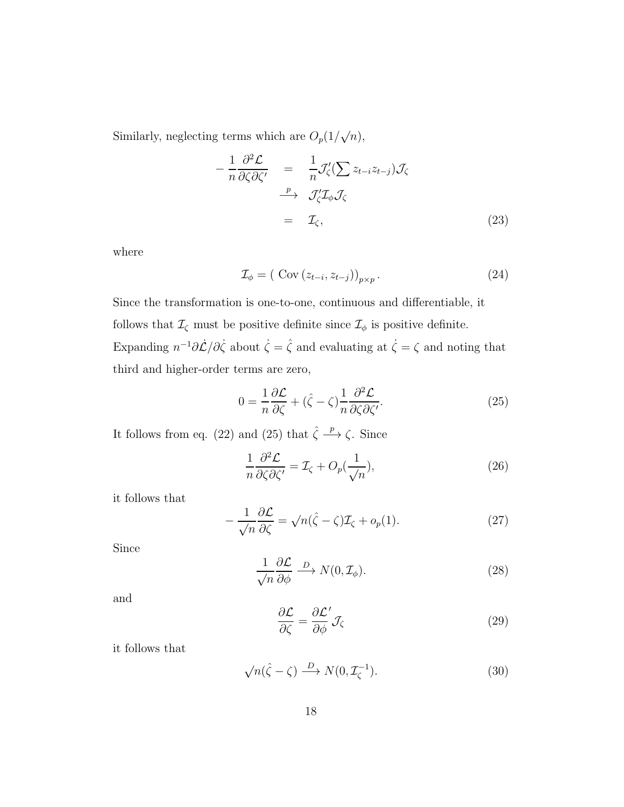Similarly, neglecting terms which are  $O_p(1/\sqrt{n})$ ,

$$
-\frac{1}{n}\frac{\partial^2 \mathcal{L}}{\partial \zeta \partial \zeta'} = \frac{1}{n}\mathcal{J}'_{\zeta}(\sum z_{t-i}z_{t-j})\mathcal{J}_{\zeta}
$$

$$
\xrightarrow{p} \mathcal{J}'_{\zeta}\mathcal{I}_{\phi}\mathcal{J}_{\zeta}
$$

$$
= \mathcal{I}_{\zeta}, \tag{23}
$$

where

$$
\mathcal{I}_{\phi} = (\text{Cov}(z_{t-i}, z_{t-j}))_{p \times p}.
$$
\n
$$
(24)
$$

Since the transformation is one-to-one, continuous and differentiable, it follows that  $\mathcal{I}_{\zeta}$  must be positive definite since  $\mathcal{I}_{\phi}$  is positive definite. Expanding  $n^{-1}\partial \mathcal{L}/\partial \zeta$  about  $\zeta = \hat{\zeta}$  and evaluating at  $\zeta = \zeta$  and noting that third and higher-order terms are zero,

$$
0 = \frac{1}{n} \frac{\partial \mathcal{L}}{\partial \zeta} + (\hat{\zeta} - \zeta) \frac{1}{n} \frac{\partial^2 \mathcal{L}}{\partial \zeta \partial \zeta'}.
$$
 (25)

It follows from eq. (22) and (25) that  $\hat{\zeta} \stackrel{p}{\longrightarrow} \zeta$ . Since

$$
\frac{1}{n}\frac{\partial^2 \mathcal{L}}{\partial \zeta \partial \zeta'} = \mathcal{I}_{\zeta} + O_p(\frac{1}{\sqrt{n}}),\tag{26}
$$

it follows that

$$
-\frac{1}{\sqrt{n}}\frac{\partial \mathcal{L}}{\partial \zeta} = \sqrt{n}(\hat{\zeta} - \zeta)\mathcal{I}_{\zeta} + o_p(1). \tag{27}
$$

Since

$$
\frac{1}{\sqrt{n}} \frac{\partial \mathcal{L}}{\partial \phi} \xrightarrow{D} N(0, \mathcal{I}_{\phi}).
$$
\n(28)

and

$$
\frac{\partial \mathcal{L}}{\partial \zeta} = \frac{\partial \mathcal{L}'}{\partial \phi} \mathcal{J}_{\zeta}
$$
 (29)

it follows that

$$
\sqrt{n}(\hat{\zeta} - \zeta) \xrightarrow{D} N(0, \mathcal{I}_{\zeta}^{-1}).
$$
\n(30)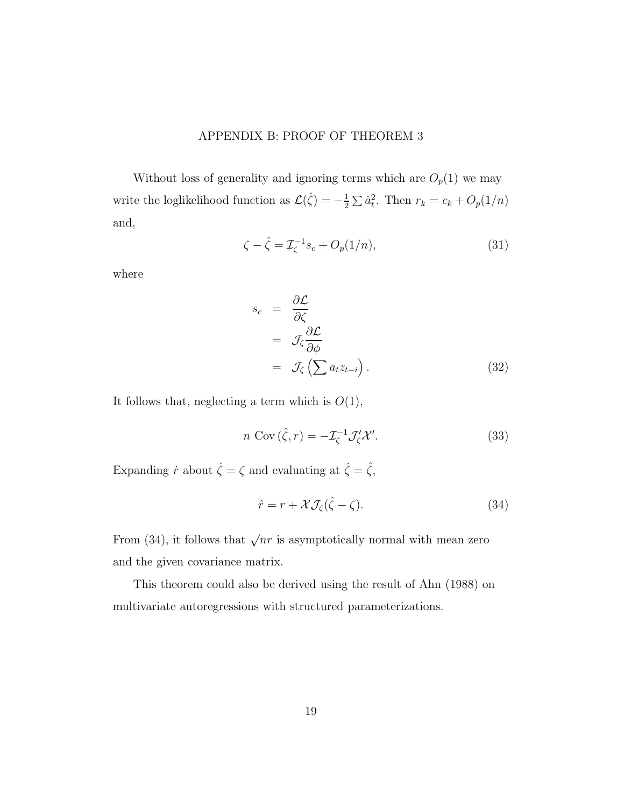# APPENDIX B: PROOF OF THEOREM 3

Without loss of generality and ignoring terms which are  $O_p(1)$  we may write the loglikelihood function as  $\mathcal{L}(\dot{\zeta}) = -\frac{1}{2}$  $\frac{1}{2} \sum \dot{a}_t^2$ . Then  $r_k = c_k + O_p(1/n)$ and,

$$
\zeta - \hat{\zeta} = \mathcal{I}_{\zeta}^{-1} s_c + O_p(1/n),
$$
\n(31)

where

$$
s_c = \frac{\partial \mathcal{L}}{\partial \zeta}
$$
  
=  $\mathcal{J}_{\zeta} \frac{\partial \mathcal{L}}{\partial \phi}$   
=  $\mathcal{J}_{\zeta} \left( \sum a_t z_{t-i} \right).$  (32)

It follows that, neglecting a term which is  $O(1)$ ,

$$
n \operatorname{Cov}(\hat{\zeta}, r) = -\mathcal{I}_{\zeta}^{-1} \mathcal{J}'_{\zeta} \mathcal{X}'.
$$
 (33)

Expanding  $\dot{r}$  about  $\dot{\zeta} = \zeta$  and evaluating at  $\dot{\zeta} = \hat{\zeta}$ ,

$$
\hat{r} = r + \mathcal{X}\mathcal{J}_{\zeta}(\hat{\zeta} - \zeta). \tag{34}
$$

From (34), it follows that  $\sqrt{nr}$  is asymptotically normal with mean zero and the given covariance matrix.

This theorem could also be derived using the result of Ahn (1988) on multivariate autoregressions with structured parameterizations.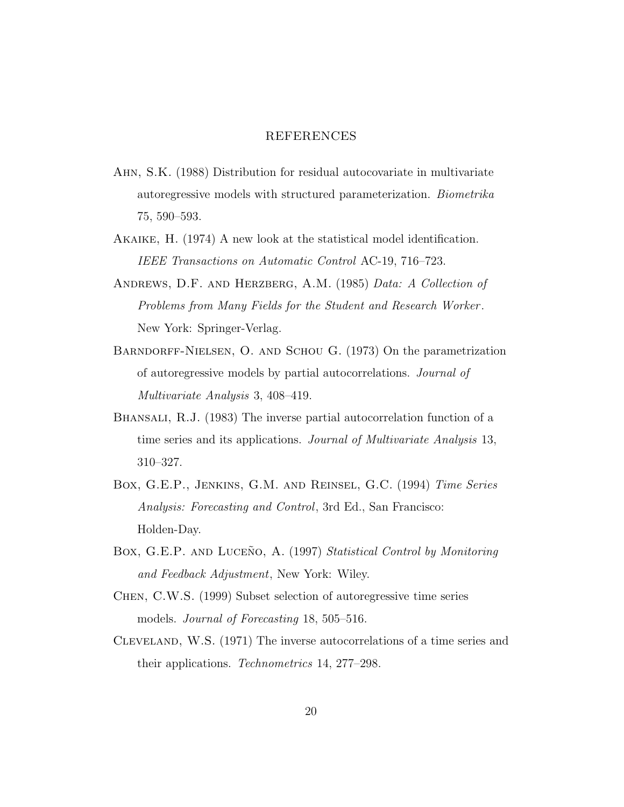### REFERENCES

- Ahn, S.K. (1988) Distribution for residual autocovariate in multivariate autoregressive models with structured parameterization. *Biometrika* 75, 590–593.
- Akaike, H. (1974) A new look at the statistical model identification. *IEEE Transactions on Automatic Control* AC-19, 716–723.
- Andrews, D.F. and Herzberg, A.M. (1985) *Data: A Collection of Problems from Many Fields for the Student and Research Worker* . New York: Springer-Verlag.
- BARNDORFF-NIELSEN, O. AND SCHOU G. (1973) On the parametrization of autoregressive models by partial autocorrelations. *Journal of Multivariate Analysis* 3, 408–419.
- BHANSALI, R.J. (1983) The inverse partial autocorrelation function of a time series and its applications. *Journal of Multivariate Analysis* 13, 310–327.
- Box, G.E.P., Jenkins, G.M. and Reinsel, G.C. (1994) *Time Series Analysis: Forecasting and Control*, 3rd Ed., San Francisco: Holden-Day.
- Box, G.E.P. AND LUCENO, A. (1997) *Statistical Control by Monitoring and Feedback Adjustment*, New York: Wiley.
- Chen, C.W.S. (1999) Subset selection of autoregressive time series models. *Journal of Forecasting* 18, 505–516.
- Cleveland, W.S. (1971) The inverse autocorrelations of a time series and their applications. *Technometrics* 14, 277–298.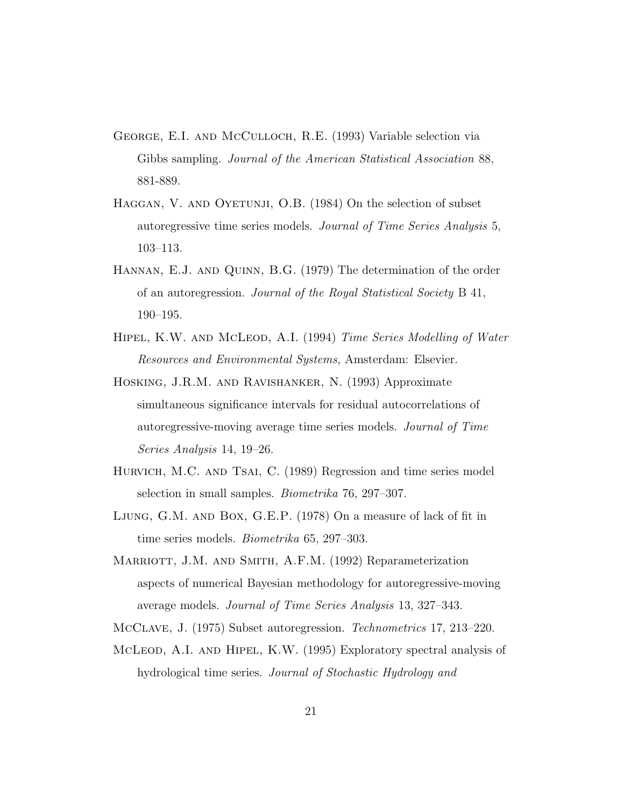- George, E.I. and McCulloch, R.E. (1993) Variable selection via Gibbs sampling. *Journal of the American Statistical Association* 88, 881-889.
- HAGGAN, V. AND OYETUNJI, O.B. (1984) On the selection of subset autoregressive time series models. *Journal of Time Series Analysis* 5, 103–113.
- Hannan, E.J. and Quinn, B.G. (1979) The determination of the order of an autoregression. *Journal of the Royal Statistical Society* B 41, 190–195.
- Hipel, K.W. and McLeod, A.I. (1994) *Time Series Modelling of Water Resources and Environmental Systems,* Amsterdam: Elsevier.
- Hosking, J.R.M. and Ravishanker, N. (1993) Approximate simultaneous significance intervals for residual autocorrelations of autoregressive-moving average time series models. *Journal of Time Series Analysis* 14, 19–26.
- HURVICH, M.C. AND TSAI, C. (1989) Regression and time series model selection in small samples. *Biometrika* 76, 297–307.
- Ljung, G.M. and Box, G.E.P. (1978) On a measure of lack of fit in time series models. *Biometrika* 65, 297–303.
- MARRIOTT, J.M. AND SMITH, A.F.M. (1992) Reparameterization aspects of numerical Bayesian methodology for autoregressive-moving average models. *Journal of Time Series Analysis* 13, 327–343.
- McClave, J. (1975) Subset autoregression. *Technometrics* 17, 213–220.
- McLeod, A.I. and Hipel, K.W. (1995) Exploratory spectral analysis of hydrological time series. *Journal of Stochastic Hydrology and*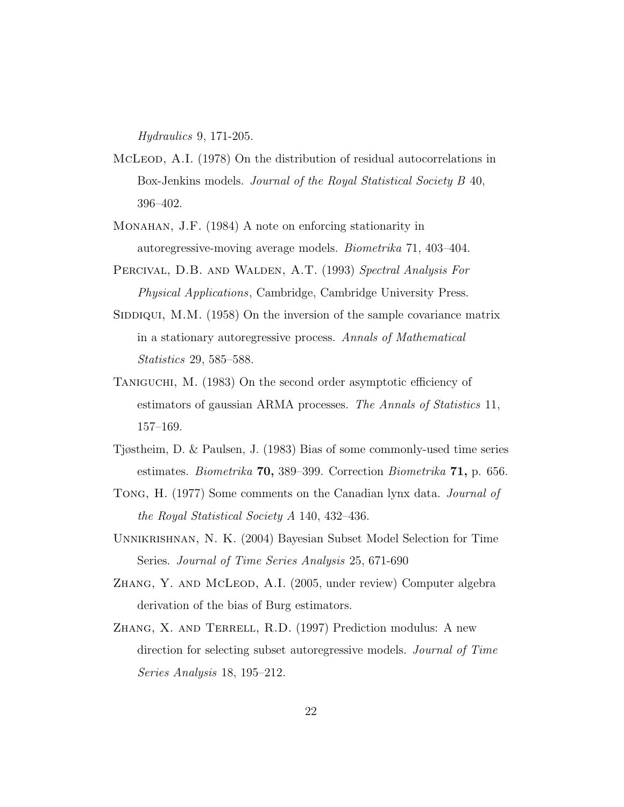*Hydraulics* 9, 171-205.

- McLeod, A.I. (1978) On the distribution of residual autocorrelations in Box-Jenkins models. *Journal of the Royal Statistical Society B* 40, 396–402.
- Monahan, J.F. (1984) A note on enforcing stationarity in autoregressive-moving average models. *Biometrika* 71, 403–404.
- Percival, D.B. and Walden, A.T. (1993) *Spectral Analysis For Physical Applications*, Cambridge, Cambridge University Press.
- SIDDIQUI, M.M.  $(1958)$  On the inversion of the sample covariance matrix in a stationary autoregressive process. *Annals of Mathematical Statistics* 29, 585–588.
- Taniguchi, M. (1983) On the second order asymptotic efficiency of estimators of gaussian ARMA processes. *The Annals of Statistics* 11, 157–169.
- Tjøstheim, D. & Paulsen, J. (1983) Bias of some commonly-used time series estimates. *Biometrika* 70, 389–399. Correction *Biometrika* 71, p. 656.
- Tong, H. (1977) Some comments on the Canadian lynx data. *Journal of the Royal Statistical Society A* 140, 432–436.
- Unnikrishnan, N. K. (2004) Bayesian Subset Model Selection for Time Series. *Journal of Time Series Analysis* 25, 671-690
- ZHANG, Y. AND MCLEOD, A.I. (2005, under review) Computer algebra derivation of the bias of Burg estimators.
- ZHANG, X. AND TERRELL, R.D. (1997) Prediction modulus: A new direction for selecting subset autoregressive models. *Journal of Time Series Analysis* 18, 195–212.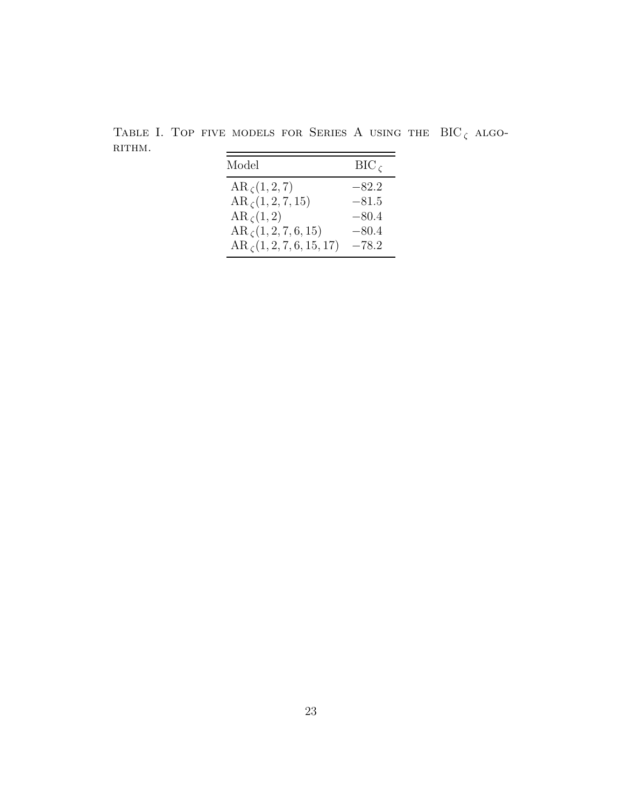TABLE I. TOP FIVE MODELS FOR SERIES A USING THE  $\text{BIC}_\zeta$  algo-rithm.  $RITHM.$  $=$ 

| Model                       | $BIC_C$ |
|-----------------------------|---------|
| $AR_{\zeta}(1,2,7)$         | $-82.2$ |
| $AR_{\zeta}(1,2,7,15)$      | $-81.5$ |
| $AR_{\zeta}(1,2)$           | $-80.4$ |
| $AR_{\zeta}(1,2,7,6,15)$    | $-80.4$ |
| $AR_{\zeta}(1,2,7,6,15,17)$ | $-78.2$ |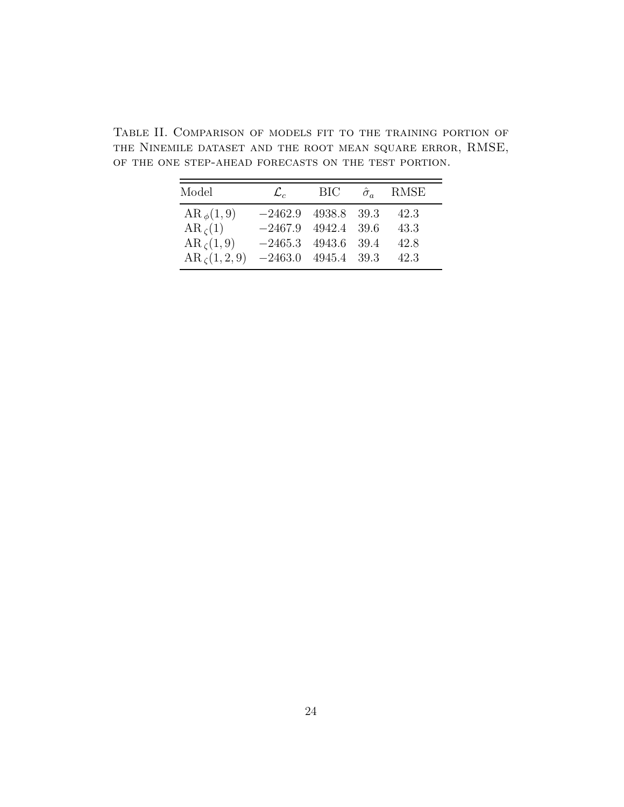Table II. Comparison of models fit to the training portion of the Ninemile dataset and the root mean square error, RMSE, of the one step-ahead forecasts on the test portion.

| Model               | $\mathcal{L}_{c}$     | BIC         | $\hat{\sigma}_a$ | RMSE |
|---------------------|-----------------------|-------------|------------------|------|
| $AR_{\phi}(1,9)$    | $-2462.9$             | 4938.8 39.3 |                  | 42.3 |
| $AR_{\zeta}(1)$     | $-2467.9$ 4942.4 39.6 |             |                  | 43.3 |
| $AR_{\zeta}(1,9)$   | $-2465.3$ 4943.6 39.4 |             |                  | 42.8 |
| $AR_{\zeta}(1,2,9)$ | $-2463.0$ 4945.4 39.3 |             |                  | 42.3 |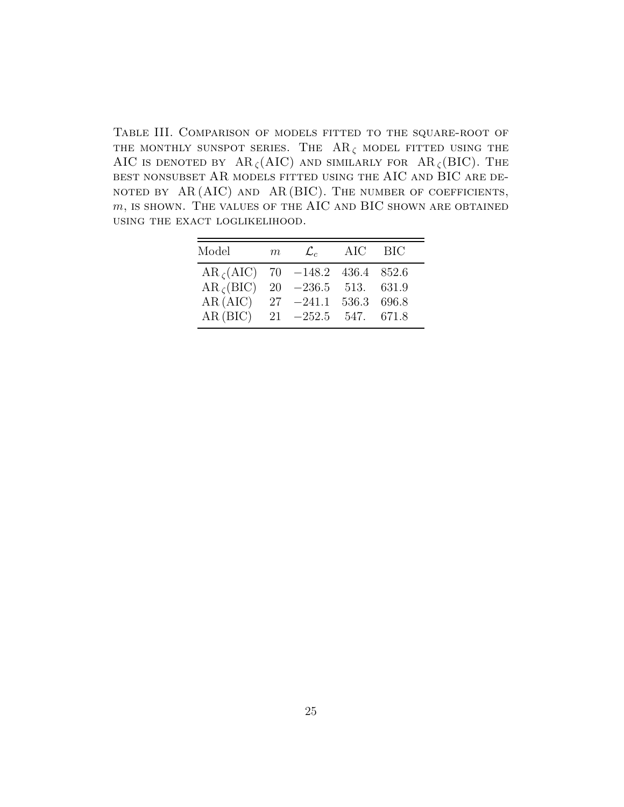Table III. Comparison of models fitted to the square-root of THE MONTHLY SUNSPOT SERIES. THE  $AR_{\zeta}$  model fitted using the AIC IS DENOTED BY AR<sub> $\zeta$ </sub>(AIC) and similarly for AR<sub> $\zeta$ </sub>(BIC). The best nonsubset AR models fitted using the AIC and BIC are de-NOTED BY  $AR(AIC)$  and  $AR(BIC)$ . The number of coefficients,  $m$ , is shown. The values of the AIC and BIC shown are obtained using the exact loglikelihood.

| Model                                   | m | $\mathcal{L}_{c}$ | AIC | BIC |
|-----------------------------------------|---|-------------------|-----|-----|
| $AR_{\zeta}(AIC)$ 70 -148.2 436.4 852.6 |   |                   |     |     |
| $AR_{\zeta} (BIC)$ 20 -236.5 513. 631.9 |   |                   |     |     |
| AR(AIC) $27 -241.1$ 536.3 696.8         |   |                   |     |     |
| AR(BIC) $21 -252.5$ 547. 671.8          |   |                   |     |     |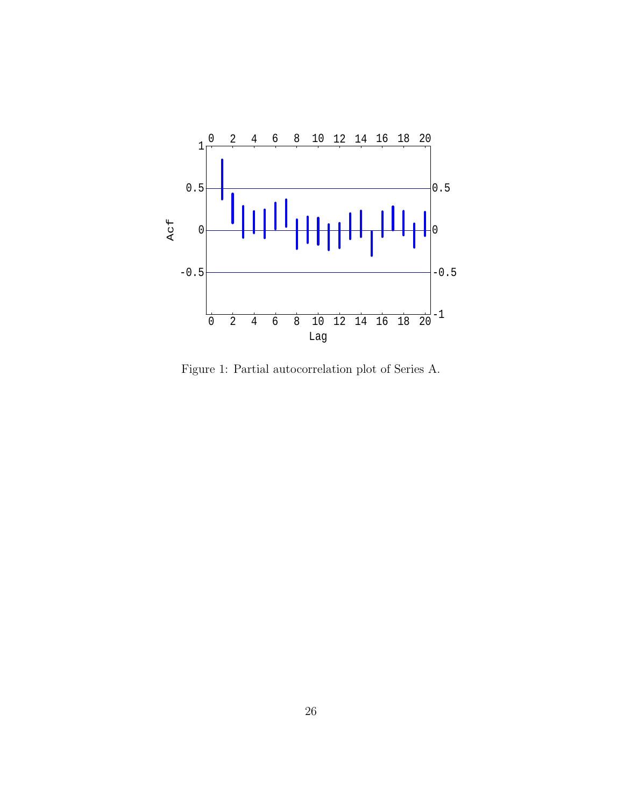

Figure 1: Partial autocorrelation plot of Series A.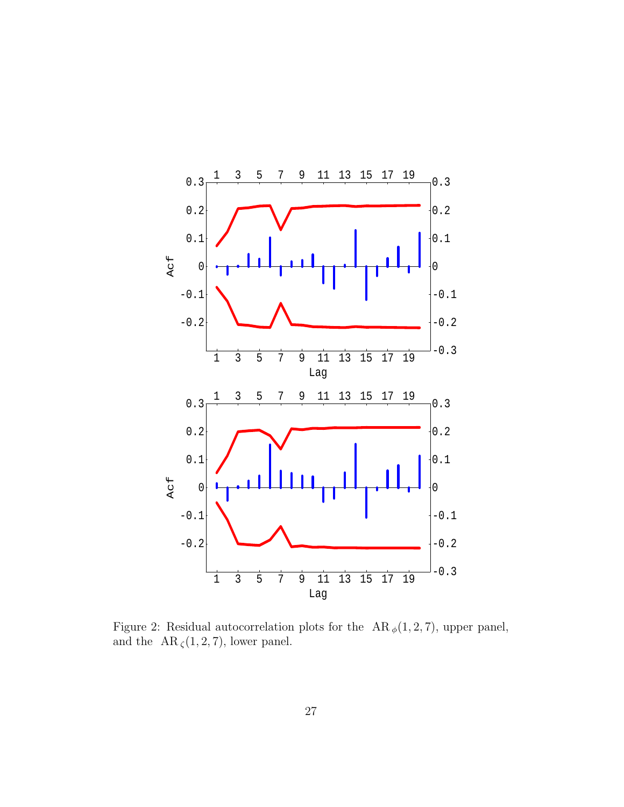

Figure 2: Residual autocorrelation plots for the  $AR_{\phi}(1, 2, 7)$ , upper panel, and the  $\text{ AR }_{\zeta}(1,2,7),$  lower panel.